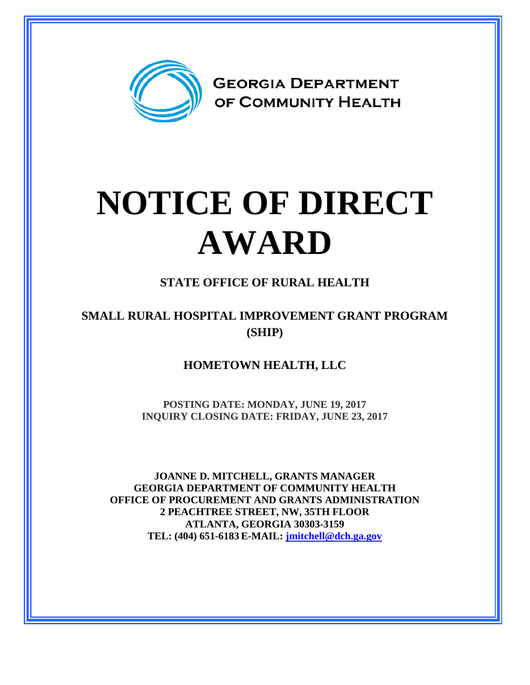

# **NOTICE OF DIRECT AWARD**

## **STATE OFFICE OF RURAL HEALTH**

### **SMALL RURAL HOSPITAL IMPROVEMENT GRANT PROGRAM (SHIP)**

**HOMETOWN HEALTH, LLC**

**POSTING DATE: MONDAY, JUNE 19, 2017 INQUIRY CLOSING DATE: FRIDAY, JUNE 23, 2017**

**JOANNE D. MITCHELL, GRANTS MANAGER GEORGIA DEPARTMENT OF COMMUNITY HEALTH OFFICE OF PROCUREMENT AND GRANTS ADMINISTRATION 2 PEACHTREE STREET, NW, 35TH FLOOR ATLANTA, GEORGIA 30303-3159 TEL: (404) 651-6183 E-MAIL: [jmitchell@dch.ga.gov](mailto:awatson@dch.ga.gov)**